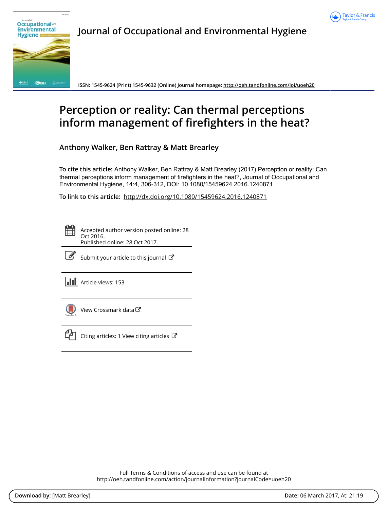



Journal of Occupational and Environmental Hygiene

ISSN: 1545-9624 (Print) 1545-9632 (Online) Journal homepage:<http://oeh.tandfonline.com/loi/uoeh20>

# Perception or reality: Can thermal perceptions inform management of firefighters in the heat?

Anthony Walker, Ben Rattray & Matt Brearley

To cite this article: Anthony Walker, Ben Rattray & Matt Brearley (2017) Perception or reality: Can thermal perceptions inform management of firefighters in the heat?, Journal of Occupational and Environmental Hygiene, 14:4, 306-312, DOI: [10.1080/15459624.2016.1240871](http://oeh.tandfonline.com/action/showCitFormats?doi=10.1080/15459624.2016.1240871)

To link to this article: <http://dx.doi.org/10.1080/15459624.2016.1240871>

Accepted author version posted online: 28 Oct 2016. Published online: 28 Oct 2017.



 $\mathbb{Z}$  [Submit your article to this journal](http://oeh.tandfonline.com/action/authorSubmission?journalCode=uoeh20&show=instructions)  $\mathbb{Z}$ 

**Article views: 153** 



[View Crossmark data](http://crossmark.crossref.org/dialog/?doi=10.1080/15459624.2016.1240871&domain=pdf&date_stamp=2016-10-28)  $\mathbb{Z}$ 



 $\Box$  [Citing articles: 1 View citing articles](http://oeh.tandfonline.com/doi/citedby/10.1080/15459624.2016.1240871#tabModule)  $\Box$ 

Full Terms & Conditions of access and use can be found at <http://oeh.tandfonline.com/action/journalInformation?journalCode=uoeh20>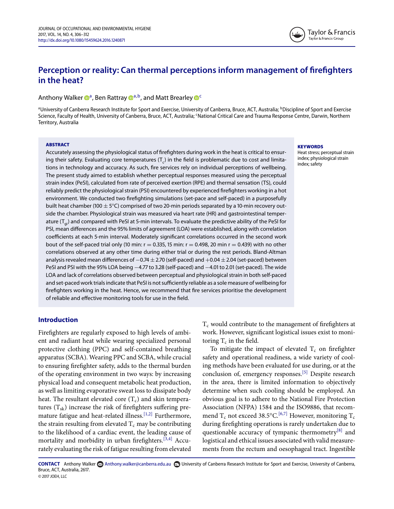## **Perception or reality: Can thermal perceptions inform management of firefighters in the heat?**

#### Anthony Walker <sup>3</sup>, Ben Rattray <sup>3,b</sup>, and Matt Brearley <sup>5</sup>

<span id="page-1-0"></span><sup>a</sup>University of Canberra Research Institute for Sport and Exercise, University of Canberra, Bruce, ACT, Australia; <sup>b</sup>Discipline of Sport and Exercise Science, Faculty of Health, University of Canberra, Bruce, ACT, Australia; <sup>c</sup>National Critical Care and Trauma Response Centre, Darwin, Northern Territory, Australia

#### ABSTRACT

Accurately assessing the physiological status of frefghters during work in the heat is critical to ensuring their safety. Evaluating core temperatures  $(T<sub>c</sub>)$  in the field is problematic due to cost and limitations in technology and accuracy. As such, fre services rely on individual perceptions of wellbeing. The present study aimed to establish whether perceptual responses measured using the perceptual strain index (PeSI), calculated from rate of perceived exertion (RPE) and thermal sensation (TS), could reliably predict the physiological strain (PSI) encountered by experienced frefghters working in a hot environment. We conducted two frefghting simulations (set-pace and self-paced) in a purposefully built heat chamber (100  $\pm$  5°C) comprised of two 20-min periods separated by a 10-min recovery outside the chamber. Physiological strain was measured via heart rate (HR) and gastrointestinal temperature  $(T_{ci})$  and compared with PeSI at 5-min intervals. To evaluate the predictive ability of the PeSI for PSI, mean diferences and the 95% limits of agreement (LOA) were established, along with correlation coefficients at each 5-min interval. Moderately significant correlations occurred in the second work bout of the self-paced trial only (10 min:  $r = 0.335$ , 15 min:  $r = 0.498$ , 20 min  $r = 0.439$ ) with no other correlations observed at any other time during either trial or during the rest periods. Bland-Altman analysis revealed mean differences of  $-0.74 \pm 2.70$  (self-paced) and  $+0.04 \pm 2.04$  (set-paced) between PeSI and PSI with the 95% LOA being −4.77 to 3.28 (self-paced) and −4.01 to 2.01 (set-paced). The wide LOA and lack of correlations observed between perceptual and physiological strain in both self-paced and set-paced work trials indicate that PeSI is not sufficiently reliable as a sole measure of wellbeing for frefghters working in the heat. Hence, we recommend that fre services prioritise the development of reliable and efective monitoring tools for use in the feld.

#### **Introduction**

Firefghters are regularly exposed to high levels of ambient and radiant heat while wearing specialized personal protective clothing (PPC) and self-contained breathing apparatus (SCBA). Wearing PPC and SCBA, while crucial to ensuring frefghter safety, adds to the thermal burden of the operating environment in two ways: by increasing physical load and consequent metabolic heat production, as well as limiting evaporative sweat loss to dissipate body heat. The resultant elevated core  $(T_c)$  and skin temperatures  $(T_{sk})$  increase the risk of firefighters suffering pre-mature fatigue and heat-related illness.<sup>[\[1,2\]](#page-6-2)</sup> Furthermore, the strain resulting from elevated  $T_c$  may be contributing to the likelihood of a cardiac event, the leading cause of mortality and morbidity in urban firefighters.<sup>[\[3,4\]](#page-6-3)</sup> Accurately evaluating the risk of fatigue resulting from elevated

 $T_c$  would contribute to the management of firefighters at work. However, signifcant logistical issues exist to monitoring  $T_c$  in the field.

To mitigate the impact of elevated  $T_c$  on firefighter safety and operational readiness, a wide variety of cooling methods have been evaluated for use during, or at the conclusion of, emergency responses.<sup>[\[5\]](#page-6-4)</sup> Despite research in the area, there is limited information to objectively determine when such cooling should be employed. An obvious goal is to adhere to the National Fire Protection Association (NFPA) 1584 and the ISO9886, that recommend  $T_c$  not exceed 38.5°C.<sup>[\[6,7\]](#page-6-5)</sup> However, monitoring  $T_c$ during frefghting operations is rarely undertaken due to questionable accuracy of tympanic thermometry<sup>[\[8\]](#page-6-6)</sup> and logistical and ethical issues associated with valid measurements from the rectum and oesophageal tract. Ingestible

CONTACT Anthony Walker **CONTACT [Anthony.walker@canberra.edu.au](mailto:Anthony.walker@canberra.edu.au) <b>D**University of Canberra Research Institute for Sport and Exercise, University of Canberra, Bruce, ACT, Australia, 2617. © JOEH, LLC

#### <span id="page-1-2"></span><span id="page-1-1"></span>**KEYWORDS**

Heat stress; perceptual strain index; physiological strain index; safety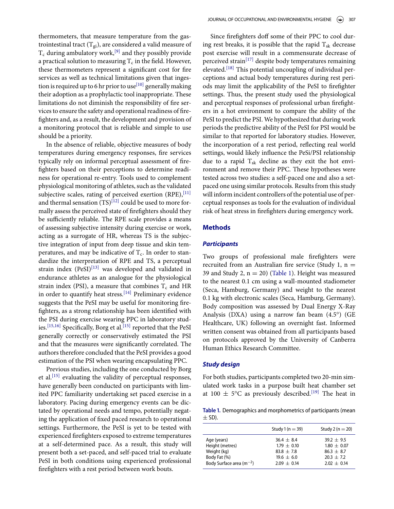thermometers, that measure temperature from the gastrointestinal tract  $(T_{gi})$ , are considered a valid measure of  $T_c$  during ambulatory work,<sup>[\[9\]](#page-6-7)</sup> and they possibly provide a practical solution to measuring  $T_c$  in the field. However, these thermometers represent a signifcant cost for fre services as well as technical limitations given that inges-tion is required up to 6 hr prior to use<sup>[\[10\]](#page-6-8)</sup> generally making their adoption as a prophylactic tool inappropriate. These limitations do not diminish the responsibility of fre services to ensure the safety and operational readiness of frefghters and, as a result, the development and provision of a monitoring protocol that is reliable and simple to use should be a priority.

In the absence of reliable, objective measures of body temperatures during emergency responses, fre services typically rely on informal perceptual assessment of frefghters based on their perceptions to determine readiness for operational re-entry. Tools used to complement physiological monitoring of athletes, such as the validated subjective scales, rating of perceived exertion  $(RPE)$ , [\[11\]](#page-6-9) and thermal sensation  $(TS)^{[12]}$  $(TS)^{[12]}$  $(TS)^{[12]}$  could be used to more formally assess the perceived state of frefghters should they be sufficiently reliable. The RPE scale provides a means of assessing subjective intensity during exercise or work, acting as a surrogate of HR, whereas TS is the subjective integration of input from deep tissue and skin temperatures, and may be indicative of  $T_c$ . In order to standardize the interpretation of RPE and TS, a perceptual strain index (PeSI)<sup>[\[13\]](#page-6-11)</sup> was developed and validated in endurance athletes as an analogue for the physiological strain index (PSI), a measure that combines  $T_c$  and HR in order to quantify heat stress.<sup>[\[14\]](#page-6-12)</sup> Preliminary evidence suggests that the PeSI may be useful for monitoring frefghters, as a strong relationship has been identifed with the PSI during exercise wearing PPC in laboratory stud-ies.<sup>[\[15,16\]](#page-6-13)</sup> Specifically, Borg et al.<sup>[\[15\]](#page-6-13)</sup> reported that the PeSI generally correctly or conservatively estimated the PSI and that the measures were signifcantly correlated. The authors therefore concluded that the PeSI provides a good estimation of the PSI when wearing encapsulating PPC.

Previous studies, including the one conducted by Borg et al.<sup>[\[15\]](#page-6-13)</sup> evaluating the validity of perceptual responses, have generally been conducted on participants with limited PPC familiarity undertaking set paced exercise in a laboratory. Pacing during emergency events can be dictated by operational needs and tempo, potentially negating the application of fxed paced research to operational settings. Furthermore, the PeSI is yet to be tested with experienced frefghters exposed to extreme temperatures at a self-determined pace. As a result, this study will present both a set-paced, and self-paced trial to evaluate PeSI in both conditions using experienced professional frefghters with a rest period between work bouts.

Since firefighters doff some of their PPC to cool during rest breaks, it is possible that the rapid  $T_{sk}$  decrease post exercise will result in a commensurate decrease of perceived strain<sup>[\[17\]](#page-6-14)</sup> despite body temperatures remaining elevated.<sup>[\[18\]](#page-6-15)</sup> This potential uncoupling of individual perceptions and actual body temperatures during rest periods may limit the applicability of the PeSI to frefghter settings. Thus, the present study used the physiological and perceptual responses of professional urban frefghters in a hot environment to compare the ability of the PeSI to predict the PSI. We hypothesized that during work periods the predictive ability of the PeSI for PSI would be similar to that reported for laboratory studies. However, the incorporation of a rest period, refecting real world settings, would likely infuence the PeSi/PSI relationship due to a rapid  $T_{sk}$  decline as they exit the hot environment and remove their PPC. These hypotheses were tested across two studies: a self-paced one and also a setpaced one using similar protocols. Results from this study will inform incident controllers of the potential use of perceptual responses as tools for the evaluation of individual risk of heat stress in frefghters during emergency work.

#### **Methods**

#### **Participants**

Two groups of professional male frefghters were recruited from an Australian fire service (Study 1,  $n =$ 39 and Study 2,  $n = 20$ ) [\(Table 1\)](#page-2-0). Height was measured to the nearest 0.1 cm using a wall-mounted stadiometer (Seca, Hamburg, Germany) and weight to the nearest 0.1 kg with electronic scales (Seca, Hamburg, Germany). Body composition was assessed by Dual Energy X-Ray Analysis (DXA) using a narrow fan beam (4.5°) (GE Healthcare, UK) following an overnight fast. Informed written consent was obtained from all participants based on protocols approved by the University of Canberra Human Ethics Research Committee.

#### **Study design**

For both studies, participants completed two 20-min simulated work tasks in a purpose built heat chamber set at 100  $\pm$  5°C as previously described.<sup>[\[19\]](#page-6-16)</sup> The heat in

<span id="page-2-0"></span>**Table .** Demographics and morphometrics of participants (mean  $\pm$  SD).

|                              | Study 1 ( $n = 39$ ) | Study 2 ( $n = 20$ ) |
|------------------------------|----------------------|----------------------|
| Age (years)                  | $36.4 + 8.4$         | $39.2 + 9.5$         |
| Height (metres)              | $1.79 + 0.10$        | $1.80 \pm 0.07$      |
| Weight (kg)                  | $83.8 + 7.8$         | $86.3 + 8.7$         |
| Body Fat (%)                 | $19.6 + 6.0$         | $20.3 + 7.2$         |
| Body Surface area $(m^{-2})$ | $2.09 + 0.14$        | $2.02 + 0.14$        |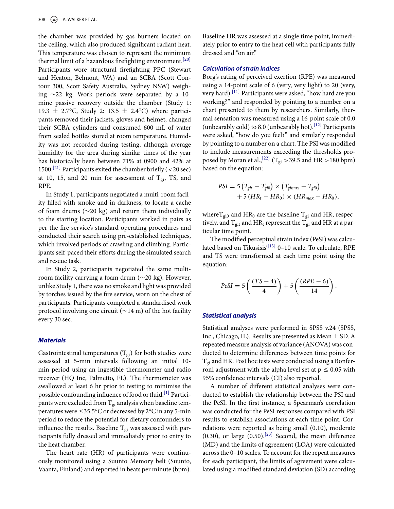the chamber was provided by gas burners located on the ceiling, which also produced signifcant radiant heat. This temperature was chosen to represent the minimum thermal limit of a hazardous firefighting environment.<sup>[\[20\]](#page-6-17)</sup> Participants wore structural frefghting PPC (Stewart and Heaton, Belmont, WA) and an SCBA (Scott Contour 300, Scott Safety Australia, Sydney NSW) weighing ∼22 kg. Work periods were separated by a 10 mine passive recovery outside the chamber (Study 1: 19.3  $\pm$  2.7°C, Study 2: 13.5  $\pm$  2.4°C) where participants removed their jackets, gloves and helmet, changed their SCBA cylinders and consumed 600 mL of water from sealed bottles stored at room temperature. Humidity was not recorded during testing, although average humidity for the area during similar times of the year has historically been between 71% at 0900 and 42% at 1500.<sup>[\[21\]](#page-7-0)</sup> Participants exited the chamber briefly (<20 sec) at 10, 15, and 20 min for assessment of  $T_{gi}$ , TS, and RPE.

In Study 1, participants negotiated a multi-room facility flled with smoke and in darkness, to locate a cache of foam drums (∼20 kg) and return them individually to the starting location. Participants worked in pairs as per the fre service's standard operating procedures and conducted their search using pre-established techniques, which involved periods of crawling and climbing. Participants self-paced their efforts during the simulated search and rescue task.

In Study 2, participants negotiated the same multiroom facility carrying a foam drum (∼20 kg). However, unlike Study 1, there was no smoke and light was provided by torches issued by the fre service, worn on the chest of participants. Participants completed a standardised work protocol involving one circuit (∼14 m) of the hot facility every 30 sec.

#### **Materials**

Gastrointestinal temperatures ( $T_{gi}$ ) for both studies were assessed at 5-min intervals following an initial 10 min period using an ingestible thermometer and radio receiver (HQ Inc, Palmetto, FL). The thermometer was swallowed at least 6 hr prior to testing to minimise the possible confounding influence of food or fluid.<sup>[\[1\]](#page-6-2)</sup> Participants were excluded from  $T_{gi}$  analysis when baseline temperatures were  $\leq$ 35.5°C or decreased by 2°C in any 5-min period to reduce the potential for dietary confounders to influence the results. Baseline  $T_{gi}$  was assessed with participants fully dressed and immediately prior to entry to the heat chamber.

The heart rate (HR) of participants were continuously monitored using a Suunto Memory belt (Suunto, Vaanta, Finland) and reported in beats per minute (bpm). Baseline HR was assessed at a single time point, immediately prior to entry to the heat cell with participants fully dressed and "on air."

#### **Calculation of strain indices**

Borg's rating of perceived exertion (RPE) was measured using a 14-point scale of 6 (very, very light) to 20 (very, very hard).[\[11\]](#page-6-9) Participants were asked, "how hard are you working?" and responded by pointing to a number on a chart presented to them by researchers. Similarly, thermal sensation was measured using a 16-point scale of 0.0 (unbearably cold) to 8.0 (unbearably hot).<sup>[\[12\]](#page-6-10)</sup> Participants were asked, "how do you feel?" and similarly responded by pointing to a number on a chart. The PSI was modifed to include measurements exceeding the thresholds proposed by Moran et al.,  $^{[22]}$  $^{[22]}$  $^{[22]}$  (T<sub>gi</sub> > 39.5 and HR > 180 bpm) based on the equation:

$$
PSI = 5(Tgit - Tgi0) \times (Tgimax - Tgi0)
$$
  
+5(HR<sub>t</sub> - HR<sub>0</sub>) \times (HR<sub>max</sub> - HR<sub>0</sub>),

where  $T_{gi0}$  and  $HR_0$  are the baseline  $T_{gi}$  and HR, respectively, and  $T_{git}$  and  $HR_t$  represent the  $T_{gi}$  and HR at a particular time point.

The modifed perceptual strain index (PeSI) was calcu-lated based on Tikusisis'<sup>[\[13\]](#page-6-11)</sup> 0-10 scale. To calculate, RPE and TS were transformed at each time point using the equation:

$$
PeSI = 5\left(\frac{(TS-4)}{4}\right) + 5\left(\frac{(RPE-6)}{14}\right).
$$

#### **Statistical analysis**

Statistical analyses were performed in SPSS v.24 (SPSS, Inc., Chicago, IL). Results are presented as Mean  $\pm$  SD. A repeated measure analysis of variance (ANOVA) was conducted to determine diferences between time points for  $T_{gi}$  and HR. Post hoc tests were conducted using a Bonferroni adjustment with the a[l](#page-4-0)pha level set at  $p \le 0.05$  with 95% confdence intervals (CI) also reported.

A number of diferent statistical analyses were conducted to establish the relationship between the PSI and the PeSI. In the frst instance, a Spearman's correlation was conducted for the PeSI responses compared with PSI results to establish associations at each time point. Correlations were reported as being small (0.10), moderate (0.30), or large  $(0.50)$ .<sup>[\[23\]](#page-7-2)</sup> Second, the mean difference (MD) and the limits of agreement (LOA) were calculated across the 0–10 scales. To account for the repeat measures for each participant, the limits of agreement were calculated using a modifed standard deviation (SD) according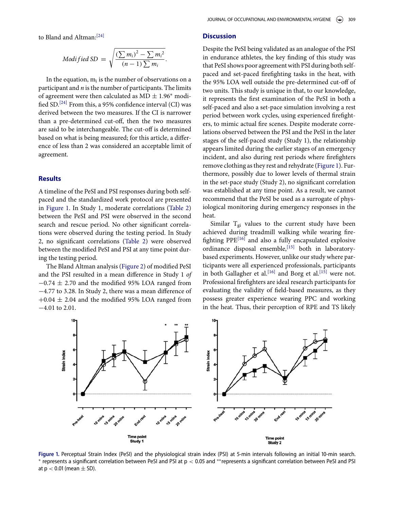to Bland and Altman:<sup>[\[24\]](#page-7-3)</sup>

$$
Modified SD = \sqrt{\frac{\left(\sum m_i\right)^2 - \sum m_i^2}{(n-1)\sum m_i}}
$$

.

In the equation,  $m_i$  is the number of observations on a participant and  $n$  is the number of participants. The limits of agreement were then calculated as  $MD \pm 1.96^*$  modi-fied SD.<sup>[\[24\]](#page-7-3)</sup> From this, a 95% confidence interval (CI) was derived between the two measures. If the CI is narrower than a pre-determined cut-of, then the two measures are said to be interchangeable. The cut-off is determined based on what is being measured; for this article, a diference of less than 2 was considered an acceptable limit of agreement.

#### **Results**

A timeline of the PeSI and PSI responses during both selfpaced and the standardized work protocol are presented in [Figure 1.](#page-4-0) In Study 1, moderate correlations [\(Table 2\)](#page-5-0) between the PeSI and PSI were observed in the second search and rescue period. No other signifcant correlations were observed during the testing period. In Study 2, no signifcant correlations [\(Table 2\)](#page-5-0) were observed between the modifed PeSI and PSI at any time point during the testing period.

The Bland Altman analysis [\(Figure 2\)](#page-5-1) of modifed PeSI and the PSI resulted in a mean diference in Study 1 of  $-0.74 \pm 2.70$  and the modified 95% LOA ranged from −4.77 to 3.28. In Study 2, there was a mean diference of  $+0.04 \pm 2.04$  and the modified 95% LOA ranged from −4.01 to 2.01.

#### **Discussion**

Despite the PeSI being validated as an analogue of the PSI in endurance athletes, the key fnding of this study was that PeSI shows poor agreement with PSI during both selfpaced and set-paced frefghting tasks in the heat, with the 95% LOA well outside the pre-determined cut-of of two units. This study is unique in that, to our knowledge, it represents the frst examination of the PeSI in both a self-paced and also a set-pace simulation involving a rest period between work cycles, using experienced frefghters, to mimic actual fre scenes. Despite moderate correlations observed between the PSI and the PeSI in the later stages of the self-paced study (Study 1), the relationship appears limited during the earlier stages of an emergency incident, and also during rest periods where frefghters remove clothing as they rest and rehydrate [\(Figure 1\)](#page-4-0). Furthermore, possibly due to lower levels of thermal strain in the set-pace study (Study 2), no signifcant correlation was established at any time point. As a result, we cannot recommend that the PeSI be used as a surrogate of physiological monitoring during emergency responses in the heat.

Similar  $T_{gi}$  values to the current study have been achieved during treadmill walking while wearing frefghting PPE[\[16\]](#page-6-18) and also a fully encapsulated explosive ordinance disposal ensemble,<sup>[\[15\]](#page-6-13)</sup> both in laboratorybased experiments. However, unlike our study where participants were all experienced professionals, participants in both Gallagher et al.<sup>[\[16\]](#page-6-18)</sup> and Borg et al.<sup>[\[15\]](#page-6-13)</sup> were not. Professional frefghters are ideal research participants for evaluating the validity of feld-based measures, as they possess greater experience wearing PPC and working in the heat. Thus, their perception of RPE and TS likely

<span id="page-4-0"></span>

**Figure** 1. Perceptual Strain Index (PeSI) and the physiological strain index (PSI) at 5-min intervals following an initial 10-min search. ∗ represents a significant correlation between PeSI and PSI at p < 0.05 and \*\*represents a significant correlation between PeSI and PSI at  $p < 0.01$  (mean  $\pm$  SD).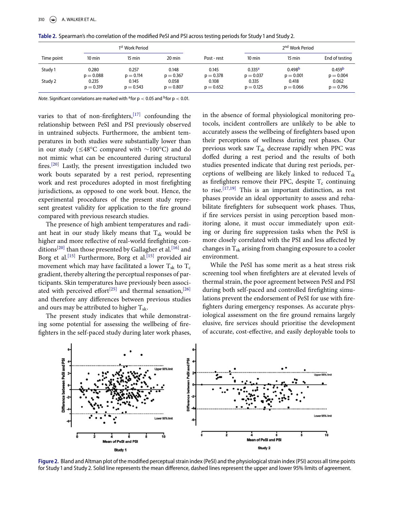| 1 <sup>st</sup> Work Period |                  |             |             |             | 2 <sup>nd</sup> Work Period |                    |                    |
|-----------------------------|------------------|-------------|-------------|-------------|-----------------------------|--------------------|--------------------|
| Time point                  | $10 \text{ min}$ | 15 min      | 20 min      | Post - rest | $10 \text{ min}$            | $15 \text{ min}$   | End of testing     |
| Study 1                     | 0.280            | 0.257       | 0.148       | 0.145       | $0.335^{a}$                 | 0.498 <sup>b</sup> | 0.459 <sup>b</sup> |
|                             | $p = 0.088$      | $p = 0.114$ | $p = 0.367$ | $p = 0.378$ | $p = 0.037$                 | $p = 0.001$        | $p = 0.004$        |
| Study 2                     | 0.235            | 0.145       | 0.058       | 0.108       | 0.335                       | 0.418              | 0.062              |
|                             | $p = 0.319$      | $p = 0.543$ | $p = 0.807$ | $p = 0.652$ | $p = 0.125$                 | $p = 0.066$        | $p = 0.796$        |

<span id="page-5-0"></span>Table 2. Spearman's rho correlation of the modified PeSI and PSI across testing periods for Study 1 and Study 2.

<span id="page-5-2"></span>Note. Significant correlations are marked with <sup>a</sup> for  $p < 0.05$  and <sup>b</sup> for  $p < 0.01$ .

<span id="page-5-3"></span>varies to that of non-firefighters,  $[17]$  confounding the relationship between PeSI and PSI previously observed in untrained subjects. Furthermore, the ambient temperatures in both studies were substantially lower than in our study (!48°C compared with ∼100°C) and do not mimic what can be encountered during structural fres.[\[20\]](#page-6-17) Lastly, the present investigation included two work bouts separated by a rest period, representing work and rest procedures adopted in most frefghting jurisdictions, as opposed to one work bout. Hence, the experimental procedures of the present study represent greatest validity for application to the fre ground compared with previous research studies.

The presence of high ambient temperatures and radiant heat in our study likely means that  $T_{sk}$  would be higher and more refective of real-world frefghting con-ditions<sup>[\[20\]](#page-6-17)</sup> than those presented by Gallagher et al.<sup>[\[16\]](#page-6-18)</sup> and Borg et al.<sup>[\[15\]](#page-6-13)</sup> Furthermore, Borg et al.<sup>[15]</sup> provided air movement which may have facilitated a lower  $T_{sk}$  to  $T_c$ gradient, thereby altering the perceptual responses of participants. Skin temperatures have previously been associ-ated with perceived effort<sup>[\[25\]](#page-7-4)</sup> and thermal sensation,<sup>[\[26\]](#page-7-5)</sup> and therefore any diferences between previous studies and ours may be attributed to higher  $T_{sk}$ .

The present study indicates that while demonstrating some potential for assessing the wellbeing of frefghters in the self-paced study during later work phases, in the absence of formal physiological monitoring protocols, incident controllers are unlikely to be able to accurately assess the wellbeing of frefghters based upon their perceptions of wellness during rest phases. Our previous work saw  $T_{sk}$  decrease rapidly when PPC was dofed during a rest period and the results of both studies presented indicate that during rest periods, perceptions of wellbeing are likely linked to reduced  $T_{sk}$ as firefighters remove their PPC, despite  $T_c$  continuing to rise. $[17,19]$  This is an important distinction, as rest phases provide an ideal opportunity to assess and rehabilitate frefghters for subsequent work phases. Thus, if fre services persist in using perception based monitoring alone, it must occur immediately upon exiting or during fre suppression tasks when the PeSI is more closely correlated with the PSI and less afected by changes in  $T_{sk}$  arising from changing exposure to a cooler environment.

While the PeSI has some merit as a heat stress risk screening tool when frefghters are at elevated levels of thermal strain, the poor agreement between PeSI and PSI during both self-paced and controlled frefghting simulations prevent the endorsement of PeSI for use with frefghters during emergency responses. As accurate physiological assessment on the fre ground remains largely elusive, fre services should prioritise the development of accurate, cost-efective, and easily deployable tools to

<span id="page-5-1"></span>

**Figure .** Bland and Altman plot of the modified perceptual strain index (PeSI) and the physiological strain index (PSI) across all time points for Study 1 and Study 2. Solid line represents the mean difference, dashed lines represent the upper and lower 95% limits of agreement.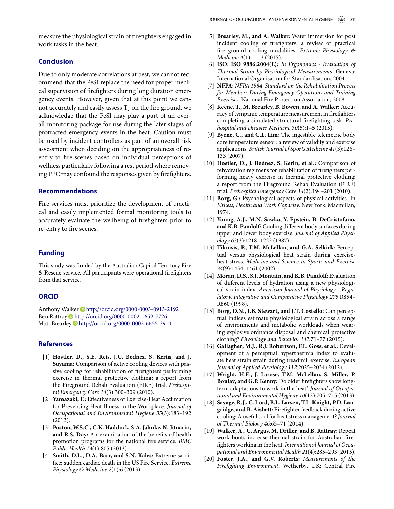measure the physiological strain of frefghters engaged in work tasks in the heat.

### **Conclusion**

Due to only moderate correlations at best, we cannot recommend that the PeSI replace the need for proper medical supervision of frefghters during long duration emergency events. However, given that at this point we cannot accurately and easily assess  $T_c$  on the fire ground, we acknowledge that the PeSI may play a part of an overall monitoring package for use during the later stages of protracted emergency events in the heat. Caution must be used by incident controllers as part of an overall risk assessment when deciding on the appropriateness of reentry to fre scenes based on individual perceptions of wellness particularly following a rest period where removing PPC may confound the responses given by frefghters.

#### **Recommendations**

Fire services must prioritize the development of practical and easily implemented formal monitoring tools to accurately evaluate the wellbeing of frefghters prior to re-entry to fre scenes.

#### **Funding**

This study was funded by the Australian Capital Territory Fire & Rescue service. All participants were operational frefghters from that service.

#### **ORCID**

<span id="page-6-1"></span><span id="page-6-0"></span>Anthony Walker <http://orcid.org/0000-0003-0913-2192> Ben Rattray D<http://orcid.org/0000-0002-1652-7726> Matt Brearley <http://orcid.org/0000-0002-6655-3914>

#### **References**

- <span id="page-6-2"></span>[1] **Hostler, D., S.E. Reis, J.C. Bednez, S. Kerin, and J. Suyama:** Comparison of active cooling devices with passive cooling for rehabilitation of frefghters performing exercise in thermal protective clothing: a report from the Fireground Rehab Evaluation (FIRE) trial. Prehospital Emergency Care 14(3):300–309 (2010).
- [2] **Yamazaki, F.:** Efectiveness of Exercise-Heat Acclimation for Preventing Heat Illness in the Workplace. Journal of Occupational and Environmental Hygiene 35(3):183–192 (2013).
- <span id="page-6-3"></span>[3] **Poston, W.S.C., C.K. Haddock, S.A. Jahnke, N. Jitnarin, and R.S. Day:** An examination of the benefts of health promotion programs for the national fre service. BMC Public Health 13(1):805 (2013).
- [4] **Smith, D.L., D.A. Barr, and S.N. Kales:** Extreme sacrifice: sudden cardiac death in the US Fire Service. Extreme Physiology & Medicine  $2(1)$ :6 (2013).
- <span id="page-6-4"></span>[5] **Brearley, M., and A. Walker:** Water immersion for post incident cooling of frefghters; a review of practical fre ground cooling modalities. Extreme Physiology & Medicine 4(1):1–13 (2015).
- <span id="page-6-5"></span>[6] **ISO: ISO 9886:2004(E):** In Ergonomics - Evaluation of Thermal Strain by Physiological Measurements. Geneva: International Organisation for Standardisation, 2004.
- [7] **NFPA:** NFPA 1584, Standard on the Rehabilitation Process for Members During Emergency Operations and Training Exercises. National Fire Protection Association, 2008.
- <span id="page-6-6"></span>[8] **Keene, T., M. Brearley, B. Bowen, and A. Walker:** Accuracy of tympanic temperature measurement in frefghters completing a simulated structural frefghting task. Prehospital and Disaster Medicine 30(5):1–5 (2015).
- <span id="page-6-7"></span>[9] **Byrne, C., and C.L. Lim:** The ingestible telemetric body core temperature sensor: a review of validity and exercise applications. British Journal of Sports Medicine 41(3):126– 133 (2007).
- <span id="page-6-8"></span>[10] **Hostler, D., J. Bednez, S. Kerin, et al.:** Comparison of rehydration regimens for rehabilitation of frefghters performing heavy exercise in thermal protective clothing: a report from the Fireground Rehab Evaluation (FIRE) trial. Prehospital Emergency Care 14(2):194–201 (2010).
- <span id="page-6-9"></span>[11] **Borg, G.:** Psychological aspects of physical activities. In Fitness, Health and Work Capacity. New York: Macmillan, 1974.
- <span id="page-6-10"></span>[12] **Young, A.J., M.N. Sawka, Y. Epstein, B. DeCristofano, and K.B. Pandolf:** Cooling diferent body surfaces during upper and lower body exercise. Journal of Applied Physiology 63(3):1218–1223 (1987).
- <span id="page-6-11"></span>[13] **Tikuisis, P., T.M. McLellan, and G.A. Selkirk:** Perceptual versus physiological heat strain during exerciseheat stress. Medicine and Science in Sports and Exercise 34(9):1454–1461 (2002).
- <span id="page-6-12"></span>[14] **Moran, D.S., S.J. Montain, and K.B. Pandolf:** Evaluation of diferent levels of hydration using a new physiological strain index. American Journal of Physiology - Regulatory, Integrative and Comparative Physiology 275:R854– R860 (1998).
- <span id="page-6-13"></span>[15] **Borg, D.N., I.B. Stewart, and J.T. Costello:** Can perceptual indices estimate physiological strain across a range of environments and metabolic workloads when wearing explosive ordnance disposal and chemical protective clothing? Physiology and Behavior 147:71–77 (2015).
- <span id="page-6-18"></span>[16] **Gallagher, M.J., R.J. Robertson, F.L. Goss, et al.:** Development of a perceptual hyperthermia index to evaluate heat strain strain during treadmill exercise. European Journal of Applied Physiology 112:2025–2034 (2012).
- <span id="page-6-14"></span>[17] **Wright, H.E., J. Larose, T.M. McLellan, S. Miller, P. Boulay, and G.P. Kenny:** Do older frefghters show longterm adaptations to work in the heat? Journal of Occupational and Environmental Hygiene 10(12):705–715 (2013).
- <span id="page-6-15"></span>[18] **Savage, R.J., C. Lord, B.L. Larsen, T.L. Knight, P.D. Langridge, and B. Aisbett:** Firefghter feedback during active cooling: A useful tool for heat stress management? Journal of Thermal Biology 46:65–71 (2014).
- <span id="page-6-16"></span>[19] **Walker, A., C. Argus, M. Driller, and B. Rattray:** Repeat work bouts increase thermal strain for Australian frefighters working in the heat. International Journal of Occupational and Environmental Health 21(4):285–293 (2015).
- <span id="page-6-17"></span>[20] **Foster, J.A., and G.V. Roberts:** Measurements of the Firefghting Environment. Wetherby, UK: Central Fire